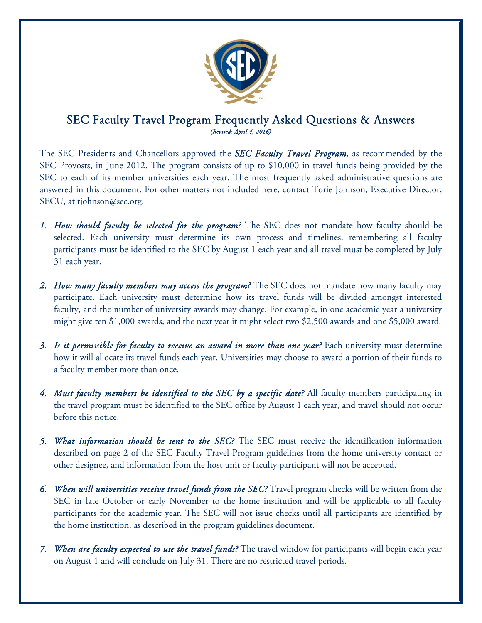

## SEC Faculty Travel Program Frequently Asked Questions & Answers *(Revised: April 4, 2016)*

The SEC Presidents and Chancellors approved the *SEC Faculty Travel Program*, as recommended by the SEC Provosts, in June 2012. The program consists of up to \$10,000 in travel funds being provided by the SEC to each of its member universities each year. The most frequently asked administrative questions are answered in this document. For other matters not included here, contact Torie Johnson, Executive Director, SECU, at tjohnson@sec.org.

- *1. How should faculty be selected for the program?* The SEC does not mandate how faculty should be selected. Each university must determine its own process and timelines, remembering all faculty participants must be identified to the SEC by August 1 each year and all travel must be completed by July 31 each year.
- *2. How many faculty members may access the program?* The SEC does not mandate how many faculty may participate. Each university must determine how its travel funds will be divided amongst interested faculty, and the number of university awards may change. For example, in one academic year a university might give ten \$1,000 awards, and the next year it might select two \$2,500 awards and one \$5,000 award.
- *3. Is it permissible for faculty to receive an award in more than one year?* Each university must determine how it will allocate its travel funds each year. Universities may choose to award a portion of their funds to a faculty member more than once.
- *4. Must faculty members be identified to the SEC by a specific date?* All faculty members participating in the travel program must be identified to the SEC office by August 1 each year, and travel should not occur before this notice.
- *5. What information should be sent to the SEC?* The SEC must receive the identification information described on page 2 of the SEC Faculty Travel Program guidelines from the home university contact or other designee, and information from the host unit or faculty participant will not be accepted.
- *6. When will universities receive travel funds from the SEC?* Travel program checks will be written from the SEC in late October or early November to the home institution and will be applicable to all faculty participants for the academic year. The SEC will not issue checks until all participants are identified by the home institution, as described in the program guidelines document.
- *7. When are faculty expected to use the travel funds?* The travel window for participants will begin each year on August 1 and will conclude on July 31. There are no restricted travel periods.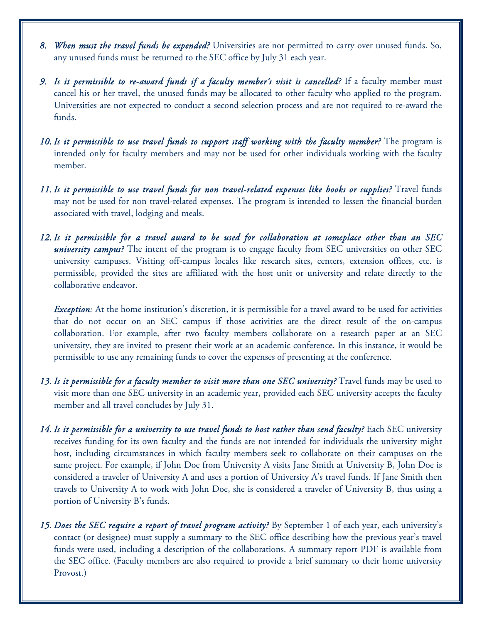- *8. When must the travel funds be expended?* Universities are not permitted to carry over unused funds. So, any unused funds must be returned to the SEC office by July 31 each year.
- *9. Is it permissible to re-award funds if a faculty member's visit is cancelled?* If a faculty member must cancel his or her travel, the unused funds may be allocated to other faculty who applied to the program. Universities are not expected to conduct a second selection process and are not required to re-award the funds.
- *10. Is it permissible to use travel funds to support staff working with the faculty member?* The program is intended only for faculty members and may not be used for other individuals working with the faculty member.
- *11. Is it permissible to use travel funds for non travel-related expenses like books or supplies?* Travel funds may not be used for non travel-related expenses. The program is intended to lessen the financial burden associated with travel, lodging and meals.
- *12. Is it permissible for a travel award to be used for collaboration at someplace other than an SEC university campus?* The intent of the program is to engage faculty from SEC universities on other SEC university campuses. Visiting off-campus locales like research sites, centers, extension offices, etc. is permissible, provided the sites are affiliated with the host unit or university and relate directly to the collaborative endeavor.

*Exception:* At the home institution's discretion, it is permissible for a travel award to be used for activities that do not occur on an SEC campus if those activities are the direct result of the on-campus collaboration. For example, after two faculty members collaborate on a research paper at an SEC university, they are invited to present their work at an academic conference. In this instance, it would be permissible to use any remaining funds to cover the expenses of presenting at the conference.

- *13. Is it permissible for a faculty member to visit more than one SEC university?* Travel funds may be used to visit more than one SEC university in an academic year, provided each SEC university accepts the faculty member and all travel concludes by July 31.
- *14. Is it permissible for a university to use travel funds to host rather than send faculty?* Each SEC university receives funding for its own faculty and the funds are not intended for individuals the university might host, including circumstances in which faculty members seek to collaborate on their campuses on the same project. For example, if John Doe from University A visits Jane Smith at University B, John Doe is considered a traveler of University A and uses a portion of University A's travel funds. If Jane Smith then travels to University A to work with John Doe, she is considered a traveler of University B, thus using a portion of University B's funds.
- *15. Does the SEC require a report of travel program activity?* By September 1 of each year, each university's contact (or designee) must supply a summary to the SEC office describing how the previous year's travel funds were used, including a description of the collaborations. A summary report PDF is available from the SEC office. (Faculty members are also required to provide a brief summary to their home university Provost.)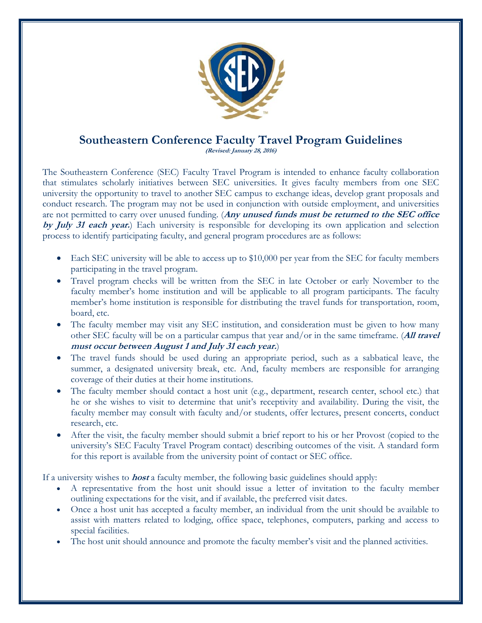

# **Southeastern Conference Faculty Travel Program Guidelines**

**(Revised: January 28, 2016)** 

The Southeastern Conference (SEC) Faculty Travel Program is intended to enhance faculty collaboration that stimulates scholarly initiatives between SEC universities. It gives faculty members from one SEC university the opportunity to travel to another SEC campus to exchange ideas, develop grant proposals and conduct research. The program may not be used in conjunction with outside employment, and universities are not permitted to carry over unused funding. (**Any unused funds must be returned to the SEC office by July 31 each year.**) Each university is responsible for developing its own application and selection process to identify participating faculty, and general program procedures are as follows:

- Each SEC university will be able to access up to \$10,000 per year from the SEC for faculty members participating in the travel program.
- Travel program checks will be written from the SEC in late October or early November to the faculty member's home institution and will be applicable to all program participants. The faculty member's home institution is responsible for distributing the travel funds for transportation, room, board, etc.
- The faculty member may visit any SEC institution, and consideration must be given to how many other SEC faculty will be on a particular campus that year and/or in the same timeframe. (**All travel must occur between August 1 and July 31 each year.**)
- The travel funds should be used during an appropriate period, such as a sabbatical leave, the summer, a designated university break, etc. And, faculty members are responsible for arranging coverage of their duties at their home institutions.
- The faculty member should contact a host unit (e.g., department, research center, school etc.) that he or she wishes to visit to determine that unit's receptivity and availability. During the visit, the faculty member may consult with faculty and/or students, offer lectures, present concerts, conduct research, etc.
- After the visit, the faculty member should submit a brief report to his or her Provost (copied to the university's SEC Faculty Travel Program contact) describing outcomes of the visit. A standard form for this report is available from the university point of contact or SEC office.

If a university wishes to **host** a faculty member, the following basic guidelines should apply:

- A representative from the host unit should issue a letter of invitation to the faculty member outlining expectations for the visit, and if available, the preferred visit dates.
- Once a host unit has accepted a faculty member, an individual from the unit should be available to assist with matters related to lodging, office space, telephones, computers, parking and access to special facilities.
- The host unit should announce and promote the faculty member's visit and the planned activities.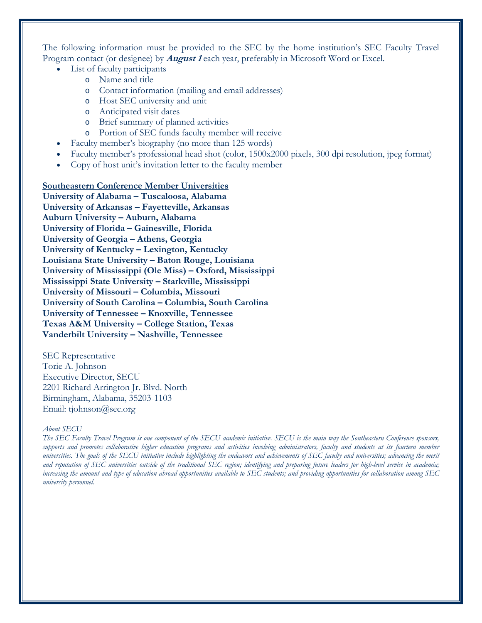The following information must be provided to the SEC by the home institution's SEC Faculty Travel Program contact (or designee) by **August 1** each year, preferably in Microsoft Word or Excel.

- List of faculty participants
	- o Name and title
	- o Contact information (mailing and email addresses)
	- o Host SEC university and unit
	- o Anticipated visit dates
	- o Brief summary of planned activities
	- o Portion of SEC funds faculty member will receive
- Faculty member's biography (no more than 125 words)
- Faculty member's professional head shot (color, 1500x2000 pixels, 300 dpi resolution, jpeg format)
- Copy of host unit's invitation letter to the faculty member

### **Southeastern Conference Member Universities**

**University of Alabama – Tuscaloosa, Alabama University of Arkansas – Fayetteville, Arkansas Auburn University – Auburn, Alabama University of Florida – Gainesville, Florida University of Georgia – Athens, Georgia University of Kentucky – Lexington, Kentucky Louisiana State University – Baton Rouge, Louisiana University of Mississippi (Ole Miss) – Oxford, Mississippi Mississippi State University – Starkville, Mississippi University of Missouri – Columbia, Missouri University of South Carolina – Columbia, South Carolina University of Tennessee – Knoxville, Tennessee Texas A&M University – College Station, Texas Vanderbilt University – Nashville, Tennessee** 

SEC Representative Torie A. Johnson Executive Director, SECU 2201 Richard Arrington Jr. Blvd. North Birmingham, Alabama, 35203-1103 Email: tjohnson@sec.org

#### *About SECU*

*The SEC Faculty Travel Program is one component of the SECU academic initiative. SECU is the main way the Southeastern Conference sponsors, supports and promotes collaborative higher education programs and activities involving administrators, faculty and students at its fourteen member universities. The goals of the SECU initiative include highlighting the endeavors and achievements of SEC faculty and universities; advancing the merit and reputation of SEC universities outside of the traditional SEC region; identifying and preparing future leaders for high-level service in academia; increasing the amount and type of education abroad opportunities available to SEC students; and providing opportunities for collaboration among SEC university personnel.*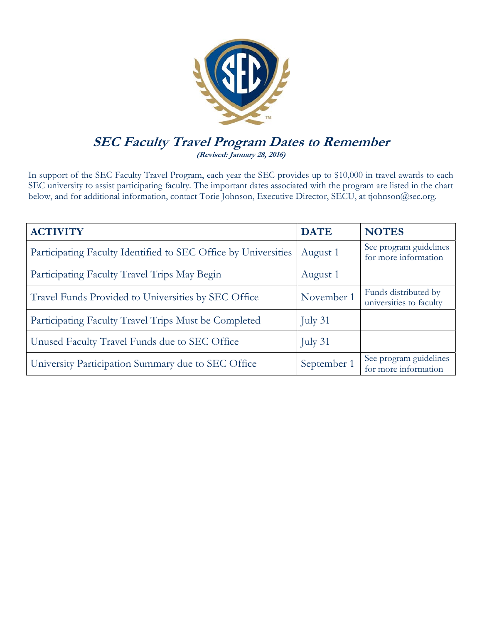

## **SEC Faculty Travel Program Dates to Remember (Revised: January 28, 2016)**

In support of the SEC Faculty Travel Program, each year the SEC provides up to \$10,000 in travel awards to each SEC university to assist participating faculty. The important dates associated with the program are listed in the chart below, and for additional information, contact Torie Johnson, Executive Director, SECU, at tjohnson@sec.org.

| <b>ACTIVITY</b>                                                | <b>DATE</b> | <b>NOTES</b>                                    |
|----------------------------------------------------------------|-------------|-------------------------------------------------|
| Participating Faculty Identified to SEC Office by Universities | August 1    | See program guidelines<br>for more information  |
| Participating Faculty Travel Trips May Begin                   | August 1    |                                                 |
| Travel Funds Provided to Universities by SEC Office            | November 1  | Funds distributed by<br>universities to faculty |
| Participating Faculty Travel Trips Must be Completed           | July 31     |                                                 |
| Unused Faculty Travel Funds due to SEC Office                  | July 31     |                                                 |
| University Participation Summary due to SEC Office             | September 1 | See program guidelines<br>for more information  |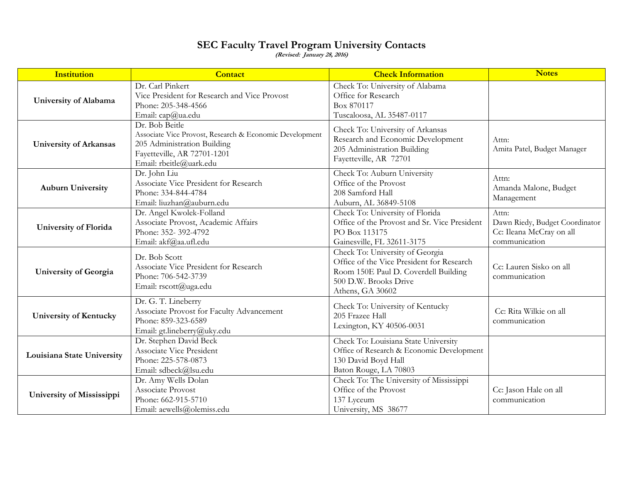### **SEC Faculty Travel Program University Contacts**

**(Revised: January 28, 2016)** 

| <b>Institution</b>            | <b>Contact</b>                                                                                                                                                     | <b>Check Information</b>                                                                                                                                          | <b>Notes</b>                                                                         |
|-------------------------------|--------------------------------------------------------------------------------------------------------------------------------------------------------------------|-------------------------------------------------------------------------------------------------------------------------------------------------------------------|--------------------------------------------------------------------------------------|
| University of Alabama         | Dr. Carl Pinkert<br>Vice President for Research and Vice Provost<br>Phone: 205-348-4566<br>Email: cap@ua.edu                                                       | Check To: University of Alabama<br>Office for Research<br>Box 870117<br>Tuscaloosa, AL 35487-0117                                                                 |                                                                                      |
| <b>University of Arkansas</b> | Dr. Bob Beitle<br>Associate Vice Provost, Research & Economic Development<br>205 Administration Building<br>Fayetteville, AR 72701-1201<br>Email: rbeitle@uark.edu | Check To: University of Arkansas<br>Research and Economic Development<br>205 Administration Building<br>Fayetteville, AR 72701                                    | Attn:<br>Amita Patel, Budget Manager                                                 |
| <b>Auburn University</b>      | Dr. John Liu<br>Associate Vice President for Research<br>Phone: 334-844-4784<br>Email: liuzhan@auburn.edu                                                          | Check To: Auburn University<br>Office of the Provost<br>208 Samford Hall<br>Auburn, AL 36849-5108                                                                 | Attn:<br>Amanda Malone, Budget<br>Management                                         |
| <b>University of Florida</b>  | Dr. Angel Kwolek-Folland<br>Associate Provost, Academic Affairs<br>Phone: 352-392-4792<br>Email: akf@aa.ufl.edu                                                    | Check To: University of Florida<br>Office of the Provost and Sr. Vice President<br>PO Box 113175<br>Gainesville, FL 32611-3175                                    | Attn:<br>Dawn Riedy, Budget Coordinator<br>Cc: Ileana McCray on all<br>communication |
| <b>University of Georgia</b>  | Dr. Bob Scott<br>Associate Vice President for Research<br>Phone: 706-542-3739<br>Email: rscott@uga.edu                                                             | Check To: University of Georgia<br>Office of the Vice President for Research<br>Room 150E Paul D. Coverdell Building<br>500 D.W. Brooks Drive<br>Athens, GA 30602 | Cc: Lauren Sisko on all<br>communication                                             |
| <b>University of Kentucky</b> | Dr. G. T. Lineberry<br>Associate Provost for Faculty Advancement<br>Phone: 859-323-6589<br>Email: gt.lineberry@uky.edu                                             | Check To: University of Kentucky<br>205 Frazee Hall<br>Lexington, KY 40506-0031                                                                                   | Cc: Rita Wilkie on all<br>communication                                              |
| Louisiana State University    | Dr. Stephen David Beck<br>Associate Vice President<br>Phone: 225-578-0873<br>Email: sdbeck@lsu.edu                                                                 | Check To: Louisiana State University<br>Office of Research & Economic Development<br>130 David Boyd Hall<br>Baton Rouge, LA 70803                                 |                                                                                      |
| University of Mississippi     | Dr. Amy Wells Dolan<br>Associate Provost<br>Phone: 662-915-5710<br>Email: aewells@olemiss.edu                                                                      | Check To: The University of Mississippi<br>Office of the Provost<br>137 Lyceum<br>University, MS 38677                                                            | Cc: Jason Hale on all<br>communication                                               |